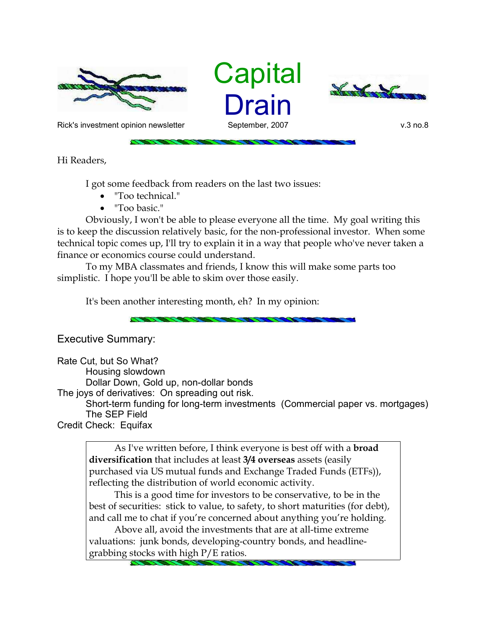

**Capital** Drain



Rick's investment opinion newsletter September, 2007 but with the settem with the september of the september, 2007

Hi Readers,

I got some feedback from readers on the last two issues:

- "Too technical."
- "Too basic."

Obviously, I won't be able to please everyone all the time. My goal writing this is to keep the discussion relatively basic, for the non-professional investor. When some technical topic comes up, I'll try to explain it in a way that people who've never taken a finance or economics course could understand.

To my MBA classmates and friends, I know this will make some parts too simplistic. I hope you'll be able to skim over those easily.

It's been another interesting month, eh? In my opinion:

Executive Summary:

Rate Cut, but So What? Housing slowdown Dollar Down, Gold up, non-dollar bonds The joys of derivatives: On spreading out risk. Short-term funding for long-term investments (Commercial paper vs. mortgages) The SEP Field Credit Check: Equifax

As I've written before, I think everyone is best off with a **broad diversification** that includes at least **3/4 overseas** assets (easily purchased via US mutual funds and Exchange Traded Funds (ETFs)), reflecting the distribution of world economic activity.

This is a good time for investors to be conservative, to be in the best of securities: stick to value, to safety, to short maturities (for debt), and call me to chat if you're concerned about anything you're holding.

Above all, avoid the investments that are at all-time extreme valuations: junk bonds, developing-country bonds, and headlinegrabbing stocks with high P/E ratios.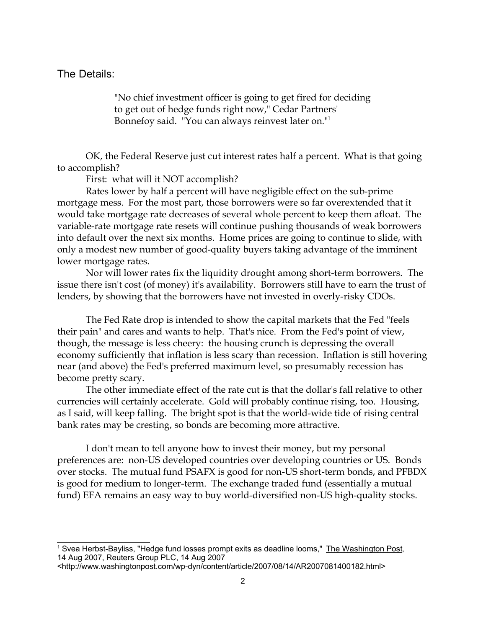## The Details:

"No chief investment officer is going to get fired for deciding to get out of hedge funds right now," Cedar Partners' Bonnefoy said. "You can always reinvest later on."<sup>1</sup>

OK, the Federal Reserve just cut interest rates half a percent. What is that going to accomplish?

First: what will it NOT accomplish?

Rates lower by half a percent will have negligible effect on the sub-prime mortgage mess. For the most part, those borrowers were so far overextended that it would take mortgage rate decreases of several whole percent to keep them afloat. The variable-rate mortgage rate resets will continue pushing thousands of weak borrowers into default over the next six months. Home prices are going to continue to slide, with only a modest new number of good-quality buyers taking advantage of the imminent lower mortgage rates.

Nor will lower rates fix the liquidity drought among short-term borrowers. The issue there isn't cost (of money) it's availability. Borrowers still have to earn the trust of lenders, by showing that the borrowers have not invested in overly-risky CDOs.

The Fed Rate drop is intended to show the capital markets that the Fed "feels their pain" and cares and wants to help. That's nice. From the Fed's point of view, though, the message is less cheery: the housing crunch is depressing the overall economy sufficiently that inflation is less scary than recession. Inflation is still hovering near (and above) the Fed's preferred maximum level, so presumably recession has become pretty scary.

The other immediate effect of the rate cut is that the dollar's fall relative to other currencies will certainly accelerate. Gold will probably continue rising, too. Housing, as I said, will keep falling. The bright spot is that the world-wide tide of rising central bank rates may be cresting, so bonds are becoming more attractive.

I don't mean to tell anyone how to invest their money, but my personal preferences are: non-US developed countries over developing countries or US. Bonds over stocks. The mutual fund PSAFX is good for non-US short-term bonds, and PFBDX is good for medium to longer-term. The exchange traded fund (essentially a mutual fund) EFA remains an easy way to buy world-diversified non-US high-quality stocks.

<sup>&</sup>lt;sup>1</sup> Svea Herbst-Bayliss, "Hedge fund losses prompt exits as deadline looms," <u>The Washington Post</u>, 14 Aug 2007, Reuters Group PLC, 14 Aug 2007

<sup>&</sup>lt;http://www.washingtonpost.com/wp-dyn/content/article/2007/08/14/AR2007081400182.html>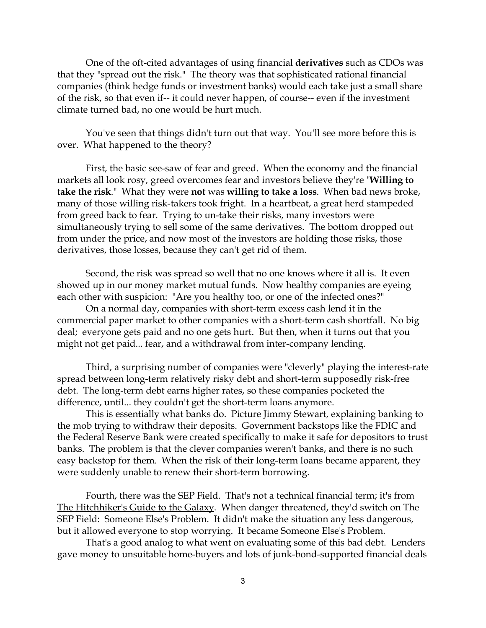One of the oft-cited advantages of using financial **derivatives** such as CDOs was that they "spread out the risk." The theory was that sophisticated rational financial companies (think hedge funds or investment banks) would each take just a small share of the risk, so that even if-- it could never happen, of course-- even if the investment climate turned bad, no one would be hurt much.

You've seen that things didn't turn out that way. You'll see more before this is over. What happened to the theory?

First, the basic see-saw of fear and greed. When the economy and the financial markets all look rosy, greed overcomes fear and investors believe they're "**Willing to take the risk**." What they were **not** was **willing to take a loss**. When bad news broke, many of those willing risk-takers took fright. In a heartbeat, a great herd stampeded from greed back to fear. Trying to un-take their risks, many investors were simultaneously trying to sell some of the same derivatives. The bottom dropped out from under the price, and now most of the investors are holding those risks, those derivatives, those losses, because they can't get rid of them.

Second, the risk was spread so well that no one knows where it all is. It even showed up in our money market mutual funds. Now healthy companies are eyeing each other with suspicion: "Are you healthy too, or one of the infected ones?"

On a normal day, companies with short-term excess cash lend it in the commercial paper market to other companies with a short-term cash shortfall. No big deal; everyone gets paid and no one gets hurt. But then, when it turns out that you might not get paid... fear, and a withdrawal from inter-company lending.

Third, a surprising number of companies were "cleverly" playing the interest-rate spread between long-term relatively risky debt and short-term supposedly risk-free debt. The long-term debt earns higher rates, so these companies pocketed the difference, until... they couldn't get the short-term loans anymore.

This is essentially what banks do. Picture Jimmy Stewart, explaining banking to the mob trying to withdraw their deposits. Government backstops like the FDIC and the Federal Reserve Bank were created specifically to make it safe for depositors to trust banks. The problem is that the clever companies weren't banks, and there is no such easy backstop for them. When the risk of their long-term loans became apparent, they were suddenly unable to renew their short-term borrowing.

Fourth, there was the SEP Field. That's not a technical financial term; it's from The Hitchhiker's Guide to the Galaxy. When danger threatened, they'd switch on The SEP Field: Someone Else's Problem. It didn't make the situation any less dangerous, but it allowed everyone to stop worrying. It became Someone Else's Problem.

That's a good analog to what went on evaluating some of this bad debt. Lenders gave money to unsuitable home-buyers and lots of junk-bond-supported financial deals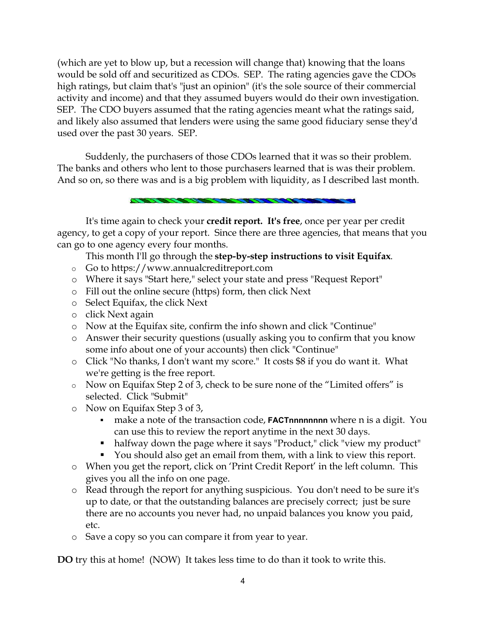(which are yet to blow up, but a recession will change that) knowing that the loans would be sold off and securitized as CDOs. SEP. The rating agencies gave the CDOs high ratings, but claim that's "just an opinion" (it's the sole source of their commercial activity and income) and that they assumed buyers would do their own investigation. SEP. The CDO buyers assumed that the rating agencies meant what the ratings said, and likely also assumed that lenders were using the same good fiduciary sense they'd used over the past 30 years. SEP.

Suddenly, the purchasers of those CDOs learned that it was so their problem. The banks and others who lent to those purchasers learned that is was their problem. And so on, so there was and is a big problem with liquidity, as I described last month.

It's time again to check your **credit report. It's free**, once per year per credit agency, to get a copy of your report. Since there are three agencies, that means that you can go to one agency every four months.

This month I'll go through the **step-by-step instructions to visit Equifax**.

- o Go to https://www.annualcreditreport.com
- o Where it says "Start here," select your state and press "Request Report"
- o Fill out the online secure (https) form, then click Next
- o Select Equifax, the click Next
- o click Next again
- o Now at the Equifax site, confirm the info shown and click "Continue"
- o Answer their security questions (usually asking you to confirm that you know some info about one of your accounts) then click "Continue"
- o Click "No thanks, I don't want my score." It costs \$8 if you do want it. What we're getting is the free report.
- o Now on Equifax Step 2 of 3, check to be sure none of the "Limited offers" is selected. Click "Submit"
- o Now on Equifax Step 3 of 3,
	- **make a note of the transaction code, <b>FACTnnnnnnnn** where n is a digit. You can use this to review the report anytime in the next 30 days.
	- halfway down the page where it says "Product," click "view my product"
	- You should also get an email from them, with a link to view this report.
- o When you get the report, click on 'Print Credit Report' in the left column. This gives you all the info on one page.
- o Read through the report for anything suspicious. You don't need to be sure it's up to date, or that the outstanding balances are precisely correct; just be sure there are no accounts you never had, no unpaid balances you know you paid, etc.
- o Save a copy so you can compare it from year to year.

**DO** try this at home! (NOW) It takes less time to do than it took to write this.